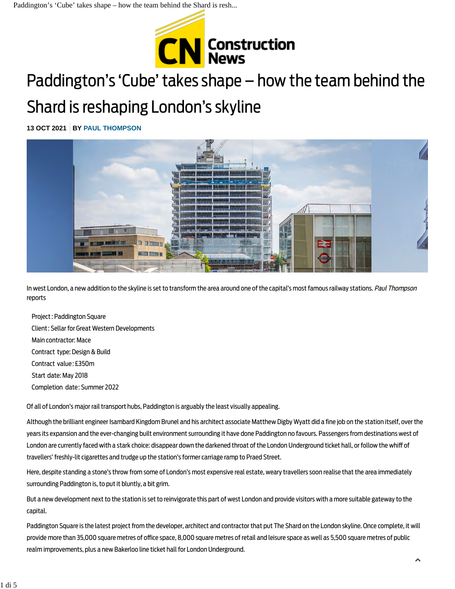

# Paddington's 'Cube' takes shape – how the team behind the

# Shard is reshaping London's skyline

**13 OCT 2021 BY [PAUL THOMPSON](https://www.constructionnews.co.uk/author/edbreretonguestpaulthompson/)**



In west London, a new addition to the skyline is set to transform the area around one of the capital's most famous railway stations. Paul Thompson reports

Project: Paddington Square Client: Sellar for Great Western Developments Main contractor: Mace Contract type: Design & Build Contract value: £350m Start date: May 2018 Completion date: Summer 2022

Of all of London's major rail transport hubs, Paddington is arguably the least visually appealing.

Although the brilliant engineer Isambard Kingdom Brunel and his architect associate Matthew Digby Wyatt did a fine job on the station itself, over the years its expansion and the ever-changing built environment surrounding it have done Paddington no favours. Passengers from destinations west of London are currently faced with a stark choice: disappear down the darkened throat of the London Underground ticket hall, or follow the whiff of travellers' freshly-lit cigarettes and trudge up the station's former carriage ramp to Praed Street.

Here, despite standing a stone's throw from some of London's most expensive real estate, weary travellers soon realise that the area immediately surrounding Paddington is, to put it bluntly, a bit grim.

But a new development next to the station is set to reinvigorate this part of west London and provide visitors with a more suitable gateway to the capital.

Paddington Square is the latest project from the developer, architect and contractor that put The Shard on the London skyline. Once complete, it will provide more than 35,000 square metres of office space, 8,000 square metres of retail and leisure space as well as 5,500 square metres of public realm improvements, plus a new Bakerloo line ticket hall for London Underground.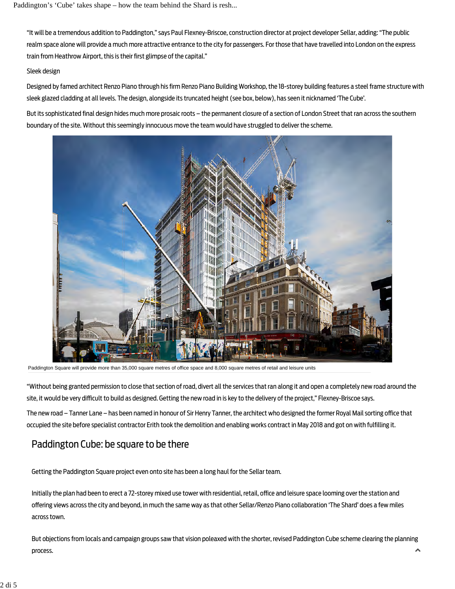"It will be a tremendous addition to Paddington," says Paul Flexney-Briscoe, construction director at project developer Sellar, adding: "The public realm space alone will provide a much more attractive entrance to the city for passengers. For those that have travelled into London on the express train from Heathrow Airport, this is their first glimpse of the capital."

#### Sleek design

Designed by famed architect Renzo Piano through his firm Renzo Piano Building Workshop, the 18-storey building features a steel frame structure with sleek glazed cladding at all levels. The design, alongside its truncated height (see box, below), has seen it nicknamed 'The Cube'.

But its sophisticated final design hides much more prosaic roots – the permanent closure of a section of London Street that ran across the southern boundary of the site. Without this seemingly innocuous move the team would have struggled to deliver the scheme.



Paddington Square will provide more than 35,000 square metres of office space and 8,000 square metres of retail and leisure units

"Without being granted permission to close that section of road, divert all the services that ran along it and open a completely new road around the site, it would be very difficult to build as designed. Getting the new road in is key to the delivery of the project," Flexney-Briscoe says.

The new road – Tanner Lane – has been named in honour of Sir Henry Tanner, the architect who designed the former Royal Mail sorting office that occupied the site before specialist contractor Erith took the demolition and enabling works contract in May 2018 and got on with fulfilling it.

### Paddington Cube: be square to be there

Getting the Paddington Square project even onto site has been a long haul for the Sellar team.

Initially the plan had been to erect a 72-storey mixed use tower with residential, retail, office and leisure space looming over the station and offering views across the city and beyond, in much the same way as that other Sellar/Renzo Piano collaboration 'The Shard' does a few miles across town.

But objections from locals and campaign groups saw that vision poleaxed with the shorter, revised Paddington Cube scheme clearing the planning process.  $\blacktriangle$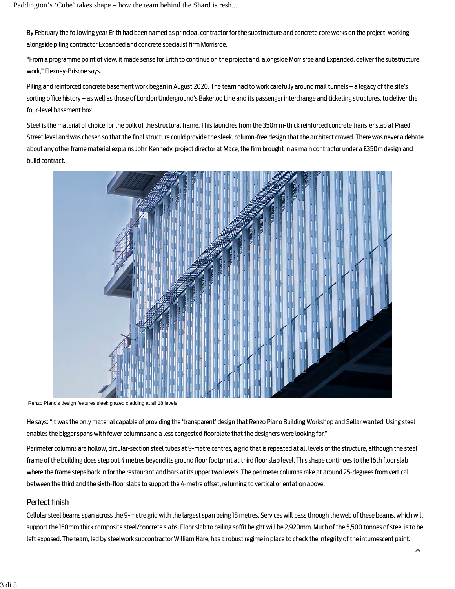By February the following year Erith had been named as principal contractor for the substructure and concrete core works on the project, working alongside piling contractor Expanded and concrete specialist firm Morrisroe.

"From a programme point of view, it made sense for Erith to continue on the project and, alongside Morrisroe and Expanded, deliver the substructure work," Flexney-Briscoe says.

Piling and reinforced concrete basement work began in August 2020. The team had to work carefully around mail tunnels – a legacy of the site's sorting office history – as well as those of London Underground's Bakerloo Line and its passenger interchange and ticketing structures, to deliver the four-level basement box.

Steel is the material of choice for the bulk of the structural frame. This launches from the 350mm-thick reinforced concrete transfer slab at Praed Street level and was chosen so that the final structure could provide the sleek, column-free design that the architect craved. There was never a debate about any other frame material explains John Kennedy, project director at Mace, the firm brought in as main contractor under a £350m design and build contract.



Renzo Piano's design features sleek glazed cladding at all 18 levels

He says: "It was the only material capable of providing the 'transparent' design that Renzo Piano Building Workshop and Sellar wanted. Using steel enables the bigger spans with fewer columns and a less congested floorplate that the designers were looking for."

Perimeter columns are hollow, circular-section steel tubes at 9-metre centres, a grid that is repeated at all levels of the structure, although the steel frame of the building does step out 4 metres beyond its ground floor footprint at third floor slab level. This shape continues to the 16th floor slab where the frame steps back in for the restaurant and bars at its upper two levels. The perimeter columns rake at around 25-degrees from vertical between the third and the sixth-floor slabs to support the 4-metre offset, returning to vertical orientation above.

### Perfect finish

Cellular steel beams span across the 9-metre grid with the largest span being 18 metres. Services will pass through the web of these beams, which will support the 150mm thick composite steel/concrete slabs. Floor slab to ceiling soffit height will be 2,920mm. Much of the 5,500 tonnes of steel is to be left exposed. The team, led by steelwork subcontractor William Hare, has a robust regime in place to check the integrity of the intumescent paint.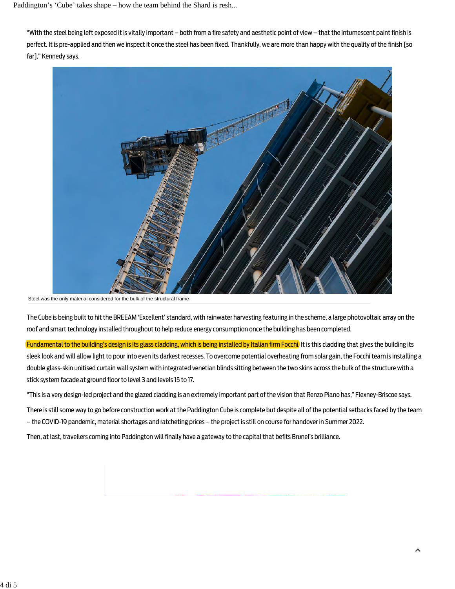"With the steel being left exposed it is vitally important – both from a fire safety and aesthetic point of view – that the intumescent paint finish is perfect. It is pre-applied and then we inspect it once the steel has been fixed. Thankfully, we are more than happy with the quality of the finish [so far]," Kennedy says.



Steel was the only material considered for the bulk of the structural frame

The Cube is being built to hit the BREEAM 'Excellent' standard, with rainwater harvesting featuring in the scheme, a large photovoltaic array on the roof and smart technology installed throughout to help reduce energy consumption once the building has been completed.

Fundamental to the building's design is its glass cladding, which is being installed by Italian firm Focchi. It is this cladding that gives the building its sleek look and will allow light to pour into even its darkest recesses. To overcome potential overheating from solar gain, the Focchi team is installing a double glass-skin unitised curtain wall system with integrated venetian blinds sitting between the two skins across the bulk of the structure with a stick system facade at ground floor to level 3 and levels 15 to 17.

"This is a very design-led project and the glazed cladding is an extremely important part of the vision that Renzo Piano has," Flexney-Briscoe says.

There is still some way to go before construction work at the Paddington Cube is complete but despite all of the potential setbacks faced by the team – the COVID-19 pandemic, material shortages and ratcheting prices – the project is still on course for handover in Summer 2022.

Then, at last, travellers coming into Paddington will finally have a gateway to the capital that befits Brunel's brilliance.